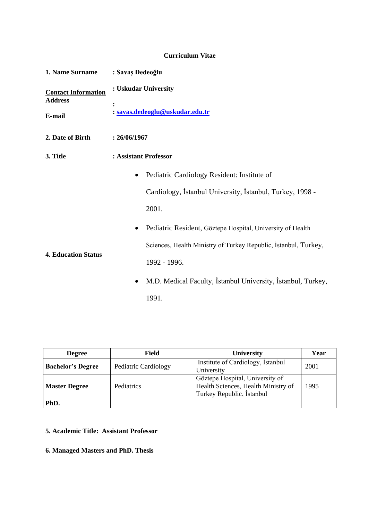# **Curriculum Vitae**

| 1. Name Surname                                        | : Savaş Dedeoğlu                                                  |  |  |  |  |
|--------------------------------------------------------|-------------------------------------------------------------------|--|--|--|--|
| <b>Contact Information</b><br><b>Address</b><br>E-mail | : Uskudar University<br>: savas.dedeoglu@uskudar.edu.tr           |  |  |  |  |
| 2. Date of Birth                                       | : 26/06/1967                                                      |  |  |  |  |
| 3. Title                                               | : Assistant Professor                                             |  |  |  |  |
|                                                        | Pediatric Cardiology Resident: Institute of<br>$\bullet$          |  |  |  |  |
|                                                        | Cardiology, İstanbul University, İstanbul, Turkey, 1998 -         |  |  |  |  |
|                                                        | 2001.                                                             |  |  |  |  |
| <b>4. Education Status</b>                             | Pediatric Resident, Göztepe Hospital, University of Health        |  |  |  |  |
|                                                        | Sciences, Health Ministry of Turkey Republic, Istanbul, Turkey,   |  |  |  |  |
|                                                        | 1992 - 1996.                                                      |  |  |  |  |
|                                                        | M.D. Medical Faculty, Istanbul University, Istanbul, Turkey,<br>٠ |  |  |  |  |
|                                                        | 1991.                                                             |  |  |  |  |

| <b>Degree</b>            | Field                | University                                                                                          | Year |
|--------------------------|----------------------|-----------------------------------------------------------------------------------------------------|------|
| <b>Bachelor's Degree</b> | Pediatric Cardiology | Institute of Cardiology, Istanbul<br>University                                                     | 2001 |
| <b>Master Degree</b>     | Pediatrics           | Göztepe Hospital, University of<br>Health Sciences, Health Ministry of<br>Turkey Republic, İstanbul | 1995 |
| PhD.                     |                      |                                                                                                     |      |

**5. Academic Title: Assistant Professor**

**6. Managed Masters and PhD. Thesis**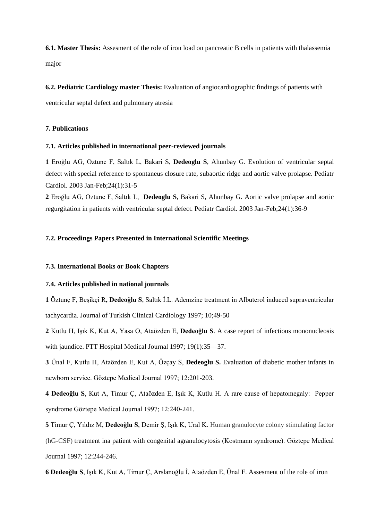**6.1. Master Thesis:** Assesment of the role of iron load on pancreatic B cells in patients with thalassemia major

#### **6.2. Pediatric Cardiology master Thesis:** Evaluation of angiocardiographic findings of patients with

ventricular septal defect and pulmonary atresia

## **7. Publications**

## **7.1. Articles published in international peer-reviewed journals**

**1** Eroğlu AG, Oztunc F, Saltık L, Bakari S, **Dedeoglu S**, Ahunbay G. Evolution of ventricular septal defect with special reference to spontaneus closure rate, subaortic ridge and aortic valve prolapse. Pediatr Cardiol. 2003 Jan-Feb;24(1):31-5

**2** Eroğlu AG, Oztunc F, Saltık L, **Dedeoglu S**, Bakari S, Ahunbay G. Aortic valve prolapse and aortic regurgitation in patients with ventricular septal defect. Pediatr Cardiol. 2003 Jan-Feb;24(1):36-9

#### **7.2. Proceedings Papers Presented in International Scientific Meetings**

#### **7.3. International Books or Book Chapters**

## **7.4. Articles published in national journals**

**1** Öztunç F, Beşikçi R**, Dedeoğlu S**, Saltık İ.L. Adenızine treatment in Albuterol induced supraventricular tachycardia. Journal of Turkish Clinical Cardiology 1997; 10;49-50

**2** Kutlu H, Işık K, Kut A, Yasa O, Ataözden E, **Dedeoğlu S**. A case report of infectious mononucleosis with jaundice. PTT Hospital Medical Journal 1997; 19(1):35—37.

**3** Ünal F, Kutlu H, Ataözden E, Kut A, Özçay S, **Dedeoglu S.** Evaluation of diabetic mother infants in newborn service. Göztepe Medical Journal 1997; 12:201-203.

**4 Dedeoğlu S**, Kut A, Timur Ç, Ataözden E, Işık K, Kutlu H. A rare cause of hepatomegaly: Pepper syndrome Göztepe Medical Journal 1997; 12:240-241.

**5** Timur Ç, Yıldız M, **Dedeoğlu S**, Demir Ş, Işık K, Ural K. Human granulocyte colony stimulating factor (hG-CSF) treatment ina patient with congenital agranulocytosis (Kostmann syndrome). Göztepe Medical Journal 1997; 12:244-246.

**6 Dedeoğlu S**, Işık K, Kut A, Timur Ç, Arslanoğlu İ, Ataözden E, Ünal F. Assesment of the role of iron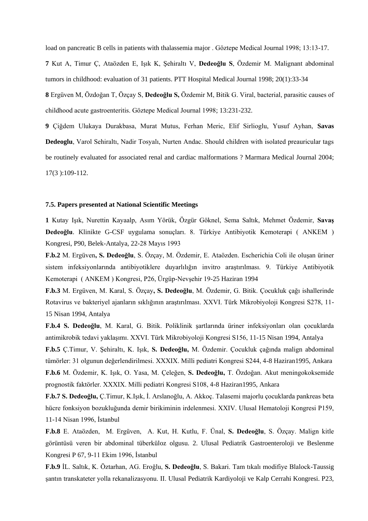load on pancreatic B cells in patients with thalassemia major . Göztepe Medical Journal 1998; 13:13-17.

**7** Kut A, Timur Ç, Ataözden E, Işık K, Şehiraltı V, **Dedeoğlu S**, Özdemir M. Malignant abdominal tumors in childhood: evaluation of 31 patients. PTT Hospital Medical Journal 1998; 20(1):33-34

**8** Ergüven M, Özdoğan T, Özçay S, **Dedeoğlu S,** Özdemir M, Bitik G. Viral, bacterial, parasitic causes of childhood acute gastroenteritis. Göztepe Medical Journal 1998; 13:231-232.

**9** Çiğdem Ulukaya Durakbasa, Murat Mutus, Ferhan Meric, Elif Sirlioglu, Yusuf Ayhan, **Savas Dedeoglu**, Varol Sehiraltı, Nadir Tosyalı, Nurten Andac. Should children with isolated preauricular tags be routinely evaluated for associated renal and cardiac malformations ? Marmara Medical Journal 2004; 17(3 ):109-112.

#### **7.5. Papers presented at National Scientific Meetings**

**1** Kutay Işık, Nurettin Kayaalp, Asım Yörük, Özgür Göknel, Sema Saltık, Mehmet Özdemir, **Savaş Dedeoğlu**. Klinikte G-CSF uygulama sonuçları. 8. Türkiye Antibiyotik Kemoterapi ( ANKEM ) Kongresi, P90, Belek-Antalya, 22-28 Mayıs 1993

**F.b.2** M. Ergüven**, S. Dedeoğlu**, S. Özçay, M. Özdemir, E. Ataözden. Escherichia Coli ile oluşan üriner sistem infeksiyonlarında antibiyotiklere duyarlılığın invitro araştırılması. 9. Türkiye Antibiyotik Kemoterapi ( ANKEM ) Kongresi, P26, Ürgüp-Nevşehir 19-25 Haziran 1994

**F.b.3** M. Ergüven, M. Karal, S. Özçay**, S. Dedeoğlu**, M. Özdemir, G. Bitik. Çocukluk çağı ishallerinde Rotavirus ve bakteriyel ajanların sıklığının araştırılması. XXVI. Türk Mikrobiyoloji Kongresi S278, 11- 15 Nisan 1994, Antalya

**F.b.4 S. Dedeoğlu**, M. Karal, G. Bitik. Poliklinik şartlarında üriner infeksiyonları olan çocuklarda antimikrobik tedavi yaklaşımı. XXVI. Türk Mikrobiyoloji Kongresi S156, 11-15 Nisan 1994, Antalya

**F.b.5** Ç.Timur, V. Şehiraltı, K. Işık, **S. Dedeoğlu,** M. Özdemir. Çocukluk çağında malign abdominal tümörler: 31 olgunun değerlendirilmesi. XXXIX. Milli pediatri Kongresi S244, 4-8 Haziran1995, Ankara **F.b.6** M. Özdemir, K. Işık, O. Yasa, M. Çeleğen, **S. Dedeoğlu,** T. Özdoğan. Akut meningokoksemide prognostik faktörler. XXXIX. Milli pediatri Kongresi S108, 4-8 Haziran1995, Ankara

**F.b.7 S. Dedeoğlu,** Ç.Timur, K.Işık, İ. Arslanoğlu, A. Akkoç. Talasemi majorlu çocuklarda pankreas beta hücre fonksiyon bozukluğunda demir birikiminin irdelenmesi. XXIV. Ulusal Hematoloji Kongresi P159, 11-14 Nisan 1996, İstanbul

**F.b.8** E. Ataözden, M. Ergüven, A. Kut, H. Kutlu, F. Ünal, **S. Dedeoğlu**, S. Özçay. Malign kitle görüntüsü veren bir abdominal tüberküloz olgusu. 2. Ulusal Pediatrik Gastroenteroloji ve Beslenme Kongresi P 67, 9-11 Ekim 1996, İstanbul

**F.b.9** İL. Saltık, K. Öztarhan, AG. Eroğlu, **S. Dedeoğlu**, S. Bakari. Tam tıkalı modifiye Blalock-Taussig şantın transkateter yolla rekanalizasyonu. II. Ulusal Pediatrik Kardiyoloji ve Kalp Cerrahi Kongresi. P23,